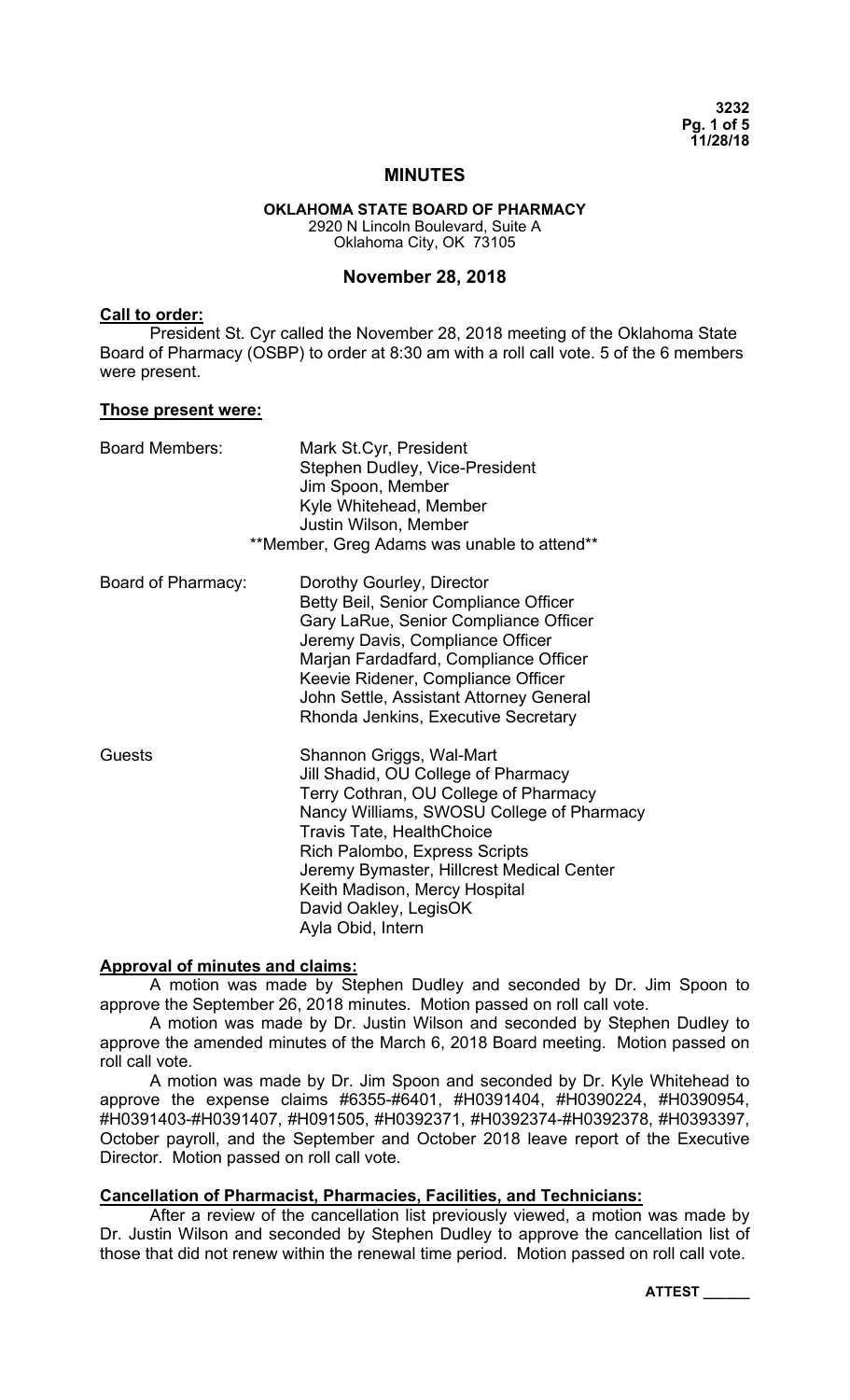**3232 Pg. 1 of 5 11/28/18** 

### **MINUTES**

**OKLAHOMA STATE BOARD OF PHARMACY**  2920 N Lincoln Boulevard, Suite A Oklahoma City, OK 73105

### **November 28, 2018**

#### **Call to order:**

President St. Cyr called the November 28, 2018 meeting of the Oklahoma State Board of Pharmacy (OSBP) to order at 8:30 am with a roll call vote. 5 of the 6 members were present.

#### **Those present were:**

| <b>Board Members:</b> | Mark St.Cyr, President<br>Stephen Dudley, Vice-President<br>Jim Spoon, Member<br>Kyle Whitehead, Member<br>Justin Wilson, Member<br>**Member, Greg Adams was unable to attend**                                                                                                                                                                        |
|-----------------------|--------------------------------------------------------------------------------------------------------------------------------------------------------------------------------------------------------------------------------------------------------------------------------------------------------------------------------------------------------|
| Board of Pharmacy:    | Dorothy Gourley, Director<br>Betty Beil, Senior Compliance Officer<br>Gary LaRue, Senior Compliance Officer<br>Jeremy Davis, Compliance Officer<br>Marjan Fardadfard, Compliance Officer<br>Keevie Ridener, Compliance Officer<br>John Settle, Assistant Attorney General<br>Rhonda Jenkins, Executive Secretary                                       |
| Guests                | Shannon Griggs, Wal-Mart<br>Jill Shadid, OU College of Pharmacy<br>Terry Cothran, OU College of Pharmacy<br>Nancy Williams, SWOSU College of Pharmacy<br><b>Travis Tate, HealthChoice</b><br>Rich Palombo, Express Scripts<br>Jeremy Bymaster, Hillcrest Medical Center<br>Keith Madison, Mercy Hospital<br>David Oakley, LegisOK<br>Ayla Obid, Intern |

### **Approval of minutes and claims:**

A motion was made by Stephen Dudley and seconded by Dr. Jim Spoon to approve the September 26, 2018 minutes. Motion passed on roll call vote.

 A motion was made by Dr. Justin Wilson and seconded by Stephen Dudley to approve the amended minutes of the March 6, 2018 Board meeting. Motion passed on roll call vote.

 A motion was made by Dr. Jim Spoon and seconded by Dr. Kyle Whitehead to approve the expense claims #6355-#6401, #H0391404, #H0390224, #H0390954, #H0391403-#H0391407, #H091505, #H0392371, #H0392374-#H0392378, #H0393397, October payroll, and the September and October 2018 leave report of the Executive Director. Motion passed on roll call vote.

### **Cancellation of Pharmacist, Pharmacies, Facilities, and Technicians:**

 After a review of the cancellation list previously viewed, a motion was made by Dr. Justin Wilson and seconded by Stephen Dudley to approve the cancellation list of those that did not renew within the renewal time period. Motion passed on roll call vote.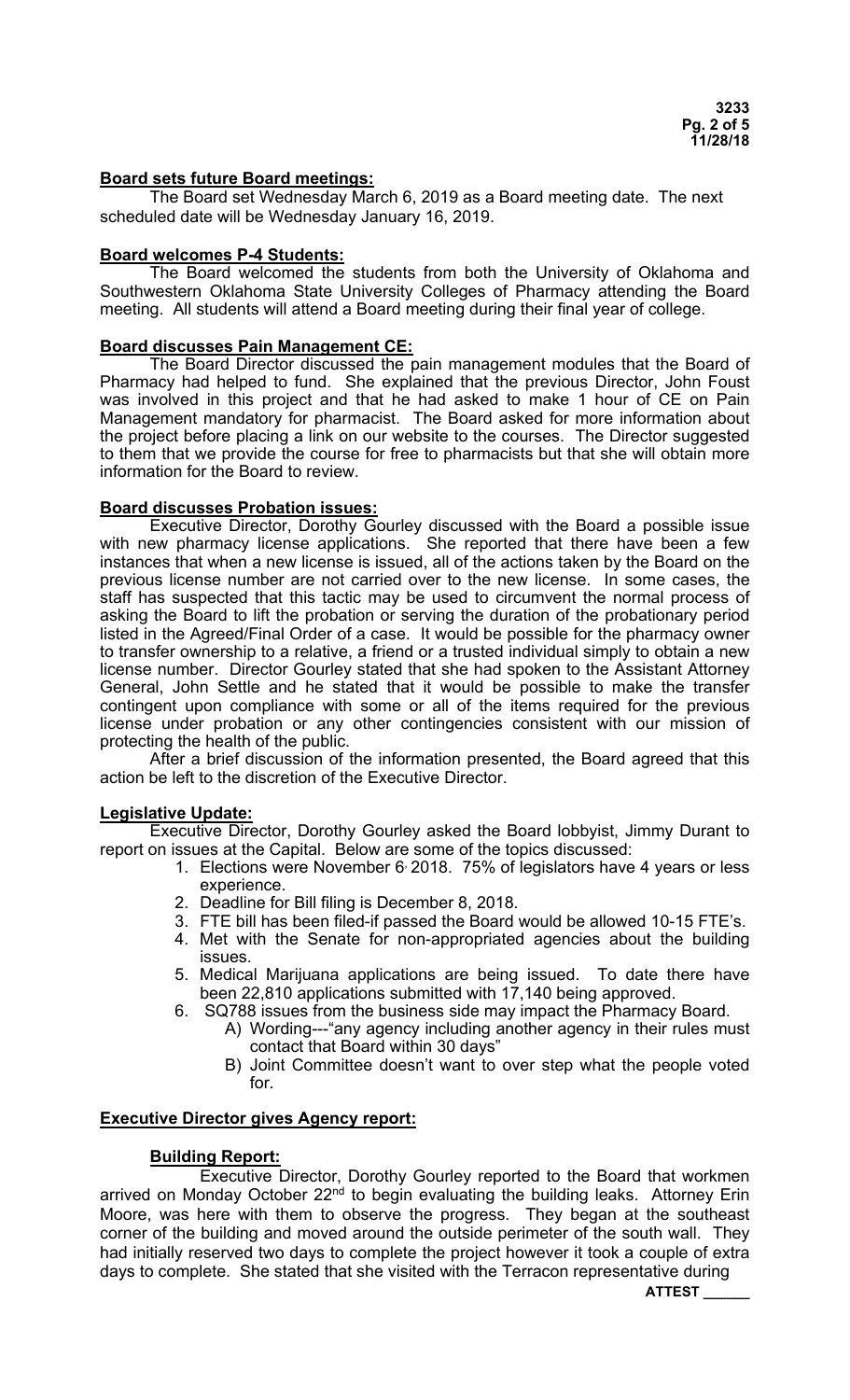### **Board sets future Board meetings:**

The Board set Wednesday March 6, 2019 as a Board meeting date. The next scheduled date will be Wednesday January 16, 2019.

### **Board welcomes P-4 Students:**

 The Board welcomed the students from both the University of Oklahoma and Southwestern Oklahoma State University Colleges of Pharmacy attending the Board meeting. All students will attend a Board meeting during their final year of college.

## **Board discusses Pain Management CE:**

 The Board Director discussed the pain management modules that the Board of Pharmacy had helped to fund. She explained that the previous Director, John Foust was involved in this project and that he had asked to make 1 hour of CE on Pain Management mandatory for pharmacist. The Board asked for more information about the project before placing a link on our website to the courses. The Director suggested to them that we provide the course for free to pharmacists but that she will obtain more information for the Board to review.

### **Board discusses Probation issues:**

 Executive Director, Dorothy Gourley discussed with the Board a possible issue with new pharmacy license applications. She reported that there have been a few instances that when a new license is issued, all of the actions taken by the Board on the previous license number are not carried over to the new license. In some cases, the staff has suspected that this tactic may be used to circumvent the normal process of asking the Board to lift the probation or serving the duration of the probationary period listed in the Agreed/Final Order of a case. It would be possible for the pharmacy owner to transfer ownership to a relative, a friend or a trusted individual simply to obtain a new license number. Director Gourley stated that she had spoken to the Assistant Attorney General, John Settle and he stated that it would be possible to make the transfer contingent upon compliance with some or all of the items required for the previous license under probation or any other contingencies consistent with our mission of protecting the health of the public.

 After a brief discussion of the information presented, the Board agreed that this action be left to the discretion of the Executive Director.

### **Legislative Update:**

 Executive Director, Dorothy Gourley asked the Board lobbyist, Jimmy Durant to report on issues at the Capital. Below are some of the topics discussed:

- 1. Elections were November 6, 2018. 75% of legislators have 4 years or less experience.
- 2. Deadline for Bill filing is December 8, 2018.
- 3. FTE bill has been filed-if passed the Board would be allowed 10-15 FTE's.
- 4. Met with the Senate for non-appropriated agencies about the building issues.
- 5. Medical Marijuana applications are being issued. To date there have been 22,810 applications submitted with 17,140 being approved.
- 6. SQ788 issues from the business side may impact the Pharmacy Board.
	- A) Wording---"any agency including another agency in their rules must contact that Board within 30 days"
	- B) Joint Committee doesn't want to over step what the people voted for.

### **Executive Director gives Agency report:**

### **Building Report:**

 Executive Director, Dorothy Gourley reported to the Board that workmen arrived on Monday October 22<sup>nd</sup> to begin evaluating the building leaks. Attorney Erin Moore, was here with them to observe the progress. They began at the southeast corner of the building and moved around the outside perimeter of the south wall. They had initially reserved two days to complete the project however it took a couple of extra days to complete. She stated that she visited with the Terracon representative during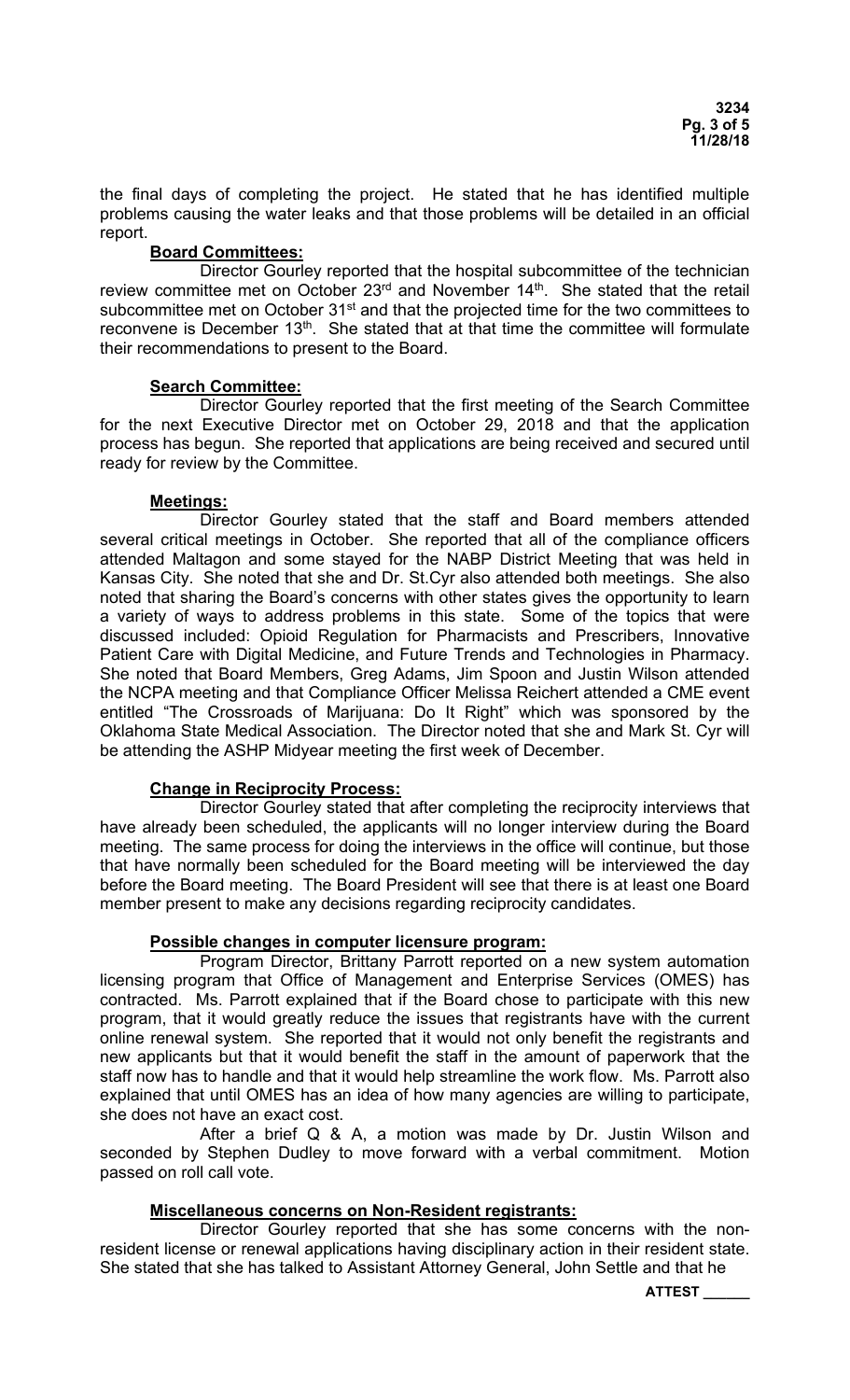the final days of completing the project. He stated that he has identified multiple problems causing the water leaks and that those problems will be detailed in an official report.

# **Board Committees:**

 Director Gourley reported that the hospital subcommittee of the technician review committee met on October  $23<sup>rd</sup>$  and November  $14<sup>th</sup>$ . She stated that the retail subcommittee met on October 31<sup>st</sup> and that the projected time for the two committees to reconvene is December 13<sup>th</sup>. She stated that at that time the committee will formulate their recommendations to present to the Board.

### **Search Committee:**

 Director Gourley reported that the first meeting of the Search Committee for the next Executive Director met on October 29, 2018 and that the application process has begun. She reported that applications are being received and secured until ready for review by the Committee.

### **Meetings:**

 Director Gourley stated that the staff and Board members attended several critical meetings in October. She reported that all of the compliance officers attended Maltagon and some stayed for the NABP District Meeting that was held in Kansas City. She noted that she and Dr. St.Cyr also attended both meetings. She also noted that sharing the Board's concerns with other states gives the opportunity to learn a variety of ways to address problems in this state. Some of the topics that were discussed included: Opioid Regulation for Pharmacists and Prescribers, Innovative Patient Care with Digital Medicine, and Future Trends and Technologies in Pharmacy. She noted that Board Members, Greg Adams, Jim Spoon and Justin Wilson attended the NCPA meeting and that Compliance Officer Melissa Reichert attended a CME event entitled "The Crossroads of Marijuana: Do It Right" which was sponsored by the Oklahoma State Medical Association. The Director noted that she and Mark St. Cyr will be attending the ASHP Midyear meeting the first week of December.

# **Change in Reciprocity Process:**

 Director Gourley stated that after completing the reciprocity interviews that have already been scheduled, the applicants will no longer interview during the Board meeting. The same process for doing the interviews in the office will continue, but those that have normally been scheduled for the Board meeting will be interviewed the day before the Board meeting. The Board President will see that there is at least one Board member present to make any decisions regarding reciprocity candidates.

# **Possible changes in computer licensure program:**

 Program Director, Brittany Parrott reported on a new system automation licensing program that Office of Management and Enterprise Services (OMES) has contracted. Ms. Parrott explained that if the Board chose to participate with this new program, that it would greatly reduce the issues that registrants have with the current online renewal system. She reported that it would not only benefit the registrants and new applicants but that it would benefit the staff in the amount of paperwork that the staff now has to handle and that it would help streamline the work flow. Ms. Parrott also explained that until OMES has an idea of how many agencies are willing to participate, she does not have an exact cost.

 After a brief Q & A, a motion was made by Dr. Justin Wilson and seconded by Stephen Dudley to move forward with a verbal commitment. Motion passed on roll call vote.

# **Miscellaneous concerns on Non-Resident registrants:**

 Director Gourley reported that she has some concerns with the nonresident license or renewal applications having disciplinary action in their resident state. She stated that she has talked to Assistant Attorney General, John Settle and that he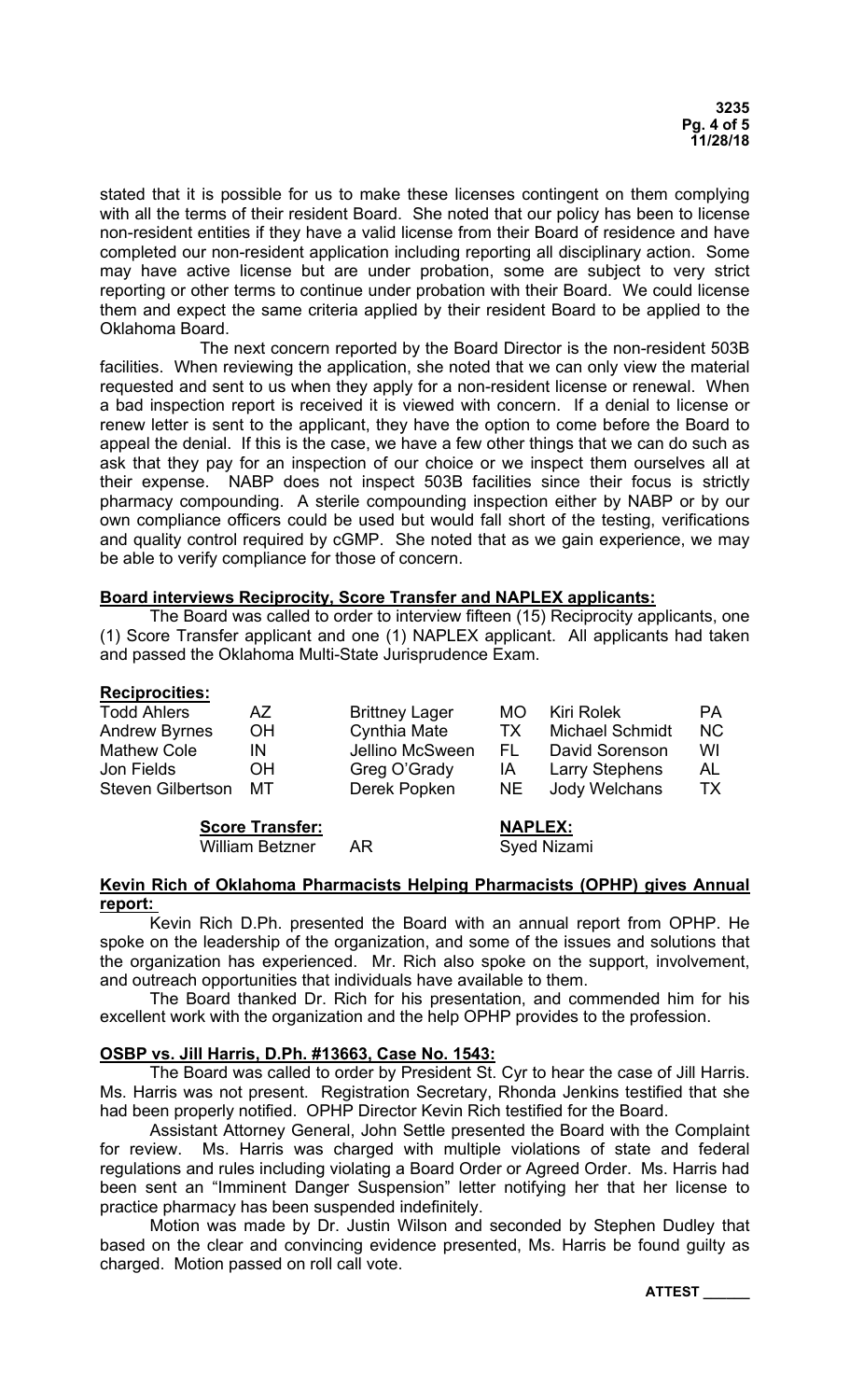stated that it is possible for us to make these licenses contingent on them complying with all the terms of their resident Board. She noted that our policy has been to license non-resident entities if they have a valid license from their Board of residence and have completed our non-resident application including reporting all disciplinary action. Some may have active license but are under probation, some are subject to very strict reporting or other terms to continue under probation with their Board. We could license them and expect the same criteria applied by their resident Board to be applied to the Oklahoma Board.

 The next concern reported by the Board Director is the non-resident 503B facilities. When reviewing the application, she noted that we can only view the material requested and sent to us when they apply for a non-resident license or renewal. When a bad inspection report is received it is viewed with concern. If a denial to license or renew letter is sent to the applicant, they have the option to come before the Board to appeal the denial. If this is the case, we have a few other things that we can do such as ask that they pay for an inspection of our choice or we inspect them ourselves all at their expense. NABP does not inspect 503B facilities since their focus is strictly pharmacy compounding. A sterile compounding inspection either by NABP or by our own compliance officers could be used but would fall short of the testing, verifications and quality control required by cGMP. She noted that as we gain experience, we may be able to verify compliance for those of concern.

### **Board interviews Reciprocity, Score Transfer and NAPLEX applicants:**

 The Board was called to order to interview fifteen (15) Reciprocity applicants, one (1) Score Transfer applicant and one (1) NAPLEX applicant. All applicants had taken and passed the Oklahoma Multi-State Jurisprudence Exam.

### **Reciprocities:**

| <b>Todd Ahlers</b>       | AZ.       | <b>Brittney Lager</b> | MO. | Kiri Rolek             | <b>PA</b> |
|--------------------------|-----------|-----------------------|-----|------------------------|-----------|
| <b>Andrew Byrnes</b>     | <b>OH</b> | <b>Cynthia Mate</b>   | ТX  | <b>Michael Schmidt</b> | <b>NC</b> |
| <b>Mathew Cole</b>       | IN        | Jellino McSween       | FL. | David Sorenson         | WI        |
| Jon Fields               | <b>OH</b> | Greg O'Grady          | ΙA  | <b>Larry Stephens</b>  | AL        |
| <b>Steven Gilbertson</b> | MT        | Derek Popken          | NE. | Jody Welchans          | ТX        |

**Score Transfer:** NAPLEX: William Betzner AR Syed Nizami

### **Kevin Rich of Oklahoma Pharmacists Helping Pharmacists (OPHP) gives Annual report:**

Kevin Rich D.Ph. presented the Board with an annual report from OPHP. He spoke on the leadership of the organization, and some of the issues and solutions that the organization has experienced. Mr. Rich also spoke on the support, involvement, and outreach opportunities that individuals have available to them.

 The Board thanked Dr. Rich for his presentation, and commended him for his excellent work with the organization and the help OPHP provides to the profession.

# **OSBP vs. Jill Harris, D.Ph. #13663, Case No. 1543:**

 The Board was called to order by President St. Cyr to hear the case of Jill Harris. Ms. Harris was not present. Registration Secretary, Rhonda Jenkins testified that she had been properly notified. OPHP Director Kevin Rich testified for the Board.

 Assistant Attorney General, John Settle presented the Board with the Complaint for review. Ms. Harris was charged with multiple violations of state and federal regulations and rules including violating a Board Order or Agreed Order. Ms. Harris had been sent an "Imminent Danger Suspension" letter notifying her that her license to practice pharmacy has been suspended indefinitely.

 Motion was made by Dr. Justin Wilson and seconded by Stephen Dudley that based on the clear and convincing evidence presented, Ms. Harris be found guilty as charged. Motion passed on roll call vote.

**ATTEST \_\_\_\_\_\_**